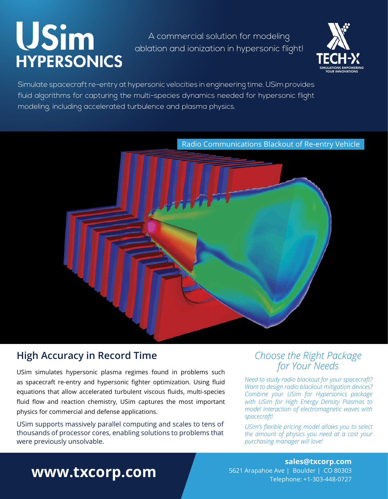# USim **HYPERSONICS**

A commercial solution for modeling ablation and ionization in hypersonic flight!



Simulate spacecraft re-entry at hypersonic velocities in engineering time. USim provides fluid algorithms for capturing the multi-species dynamics needed for hypersonic flight modeling, including accelerated turbulence and plasma physics.



### **High Accuracy in Record Time**

USim simulates hypersonic plasma regimes found in problems such as spacecraft re-entry and hypersonic fighter optimization. Using fluid equations that allow accelerated turbulent viscous fluids, multi-species fluid flow and reaction chemistry, USim captures the most important physics for commercial and defense applications.

USim supports massively parallel computing and scales to tens of thousands of processor cores, enabling solutions to problems that were previously unsolvable.

### *Choose the Right Package for Your Needs*

*Need to study radio blackout for your spacecraft? Want to design radio blackout mitigation devices? Combine your USim for Hypersonics package with USim for High Energy Density Plasmas to model interaction of electromagnetic waves with spacecraft!* 

*USim's flexible pricing model allows you to select the amount of physics you need at a cost your purchasing manager will love!*

## **www.txcorp.com**

**sales@txcorp.com** 5621 Arapahoe Ave | Boulder | CO 80303 Telephone: +1-303-448-0727